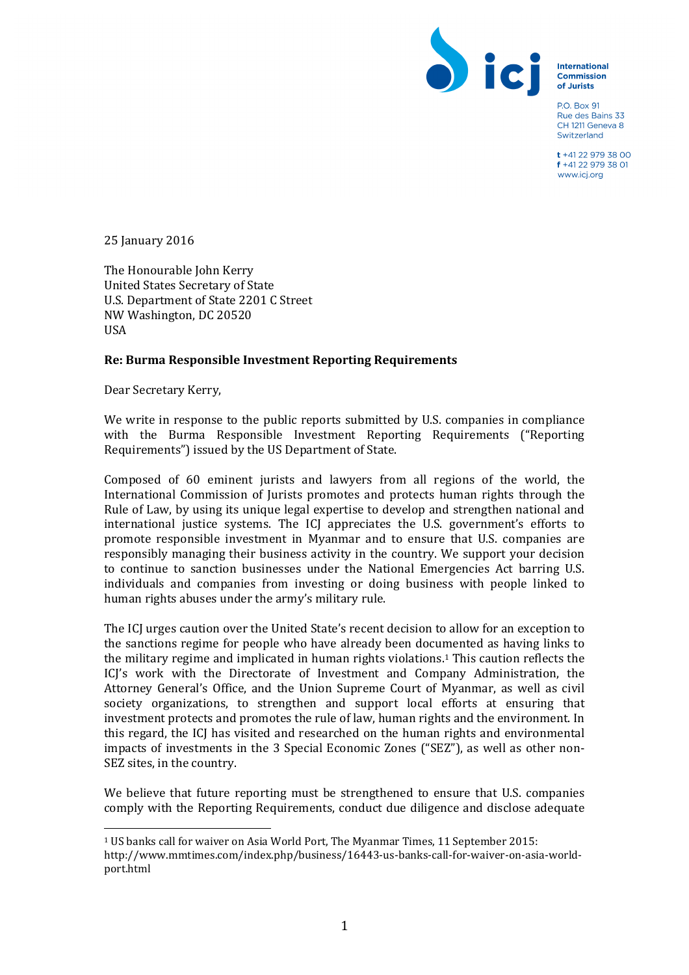

**International** Commission of Jurists

PO Box 91 Rue des Bains 33 CH 1211 Geneva 8 Switzerland

t +41 22 979 38 00 f +41 22 979 38 01 www.icj.org

25 January 2016

The Honourable John Kerry United States Secretary of State U.S. Department of State 2201 C Street NW Washington, DC 20520 USA

#### **Re: Burma Responsible Investment Reporting Requirements**

Dear Secretary Kerry,

 

We write in response to the public reports submitted by U.S. companies in compliance with the Burma Responsible Investment Reporting Requirements ("Reporting Requirements") issued by the US Department of State.

Composed of 60 eminent jurists and lawyers from all regions of the world, the International Commission of Jurists promotes and protects human rights through the Rule of Law, by using its unique legal expertise to develop and strengthen national and international justice systems. The ICJ appreciates the U.S. government's efforts to promote responsible investment in Myanmar and to ensure that U.S. companies are responsibly managing their business activity in the country. We support your decision to continue to sanction businesses under the National Emergencies Act barring U.S. individuals and companies from investing or doing business with people linked to human rights abuses under the army's military rule. 

The ICJ urges caution over the United State's recent decision to allow for an exception to the sanctions regime for people who have already been documented as having links to the military regime and implicated in human rights violations.1 This caution reflects the ICJ's work with the Directorate of Investment and Company Administration, the Attorney General's Office, and the Union Supreme Court of Myanmar, as well as civil society organizations, to strengthen and support local efforts at ensuring that investment protects and promotes the rule of law, human rights and the environment. In this regard, the ICJ has visited and researched on the human rights and environmental impacts of investments in the 3 Special Economic Zones ("SEZ"), as well as other non-SEZ sites, in the country.

We believe that future reporting must be strengthened to ensure that U.S. companies comply with the Reporting Requirements, conduct due diligence and disclose adequate

<sup>1</sup> US banks call for waiver on Asia World Port, The Myanmar Times, 11 September 2015: http://www.mmtimes.com/index.php/business/16443-us-banks-call-for-waiver-on-asia-worldport.html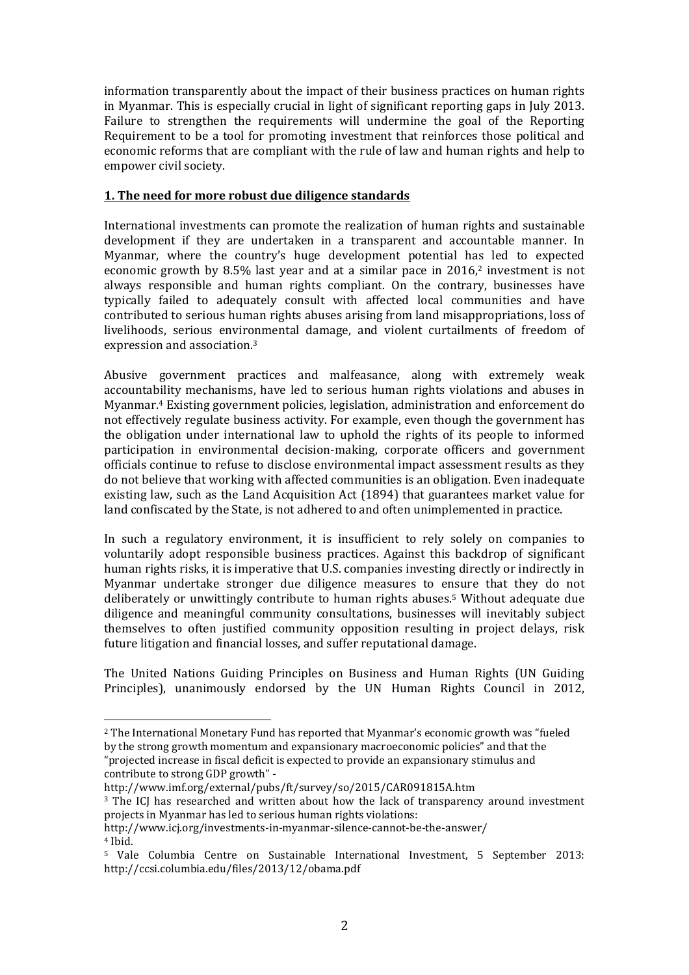information transparently about the impact of their business practices on human rights in Myanmar. This is especially crucial in light of significant reporting gaps in July 2013. Failure to strengthen the requirements will undermine the goal of the Reporting Requirement to be a tool for promoting investment that reinforces those political and economic reforms that are compliant with the rule of law and human rights and help to empower civil society.

#### **1. The need for more robust due diligence standards**

International investments can promote the realization of human rights and sustainable development if they are undertaken in a transparent and accountable manner. In Myanmar, where the country's huge development potential has led to expected economic growth by 8.5% last year and at a similar pace in  $2016$ <sup>2</sup> investment is not always responsible and human rights compliant. On the contrary, businesses have typically failed to adequately consult with affected local communities and have contributed to serious human rights abuses arising from land misappropriations, loss of livelihoods, serious environmental damage, and violent curtailments of freedom of expression and association.3

Abusive government practices and malfeasance, along with extremely weak accountability mechanisms, have led to serious human rights violations and abuses in Myanmar.4 Existing government policies, legislation, administration and enforcement do not effectively regulate business activity. For example, even though the government has the obligation under international law to uphold the rights of its people to informed participation in environmental decision-making, corporate officers and government officials continue to refuse to disclose environmental impact assessment results as they do not believe that working with affected communities is an obligation. Even inadequate existing law, such as the Land Acquisition Act (1894) that guarantees market value for land confiscated by the State, is not adhered to and often unimplemented in practice.

In such a regulatory environment, it is insufficient to rely solely on companies to voluntarily adopt responsible business practices. Against this backdrop of significant human rights risks, it is imperative that U.S. companies investing directly or indirectly in Myanmar undertake stronger due diligence measures to ensure that they do not deliberately or unwittingly contribute to human rights abuses.5 Without adequate due diligence and meaningful community consultations, businesses will inevitably subject themselves to often justified community opposition resulting in project delays, risk future litigation and financial losses, and suffer reputational damage.

The United Nations Guiding Principles on Business and Human Rights (UN Guiding Principles), unanimously endorsed by the UN Human Rights Council in 2012,

<sup>2</sup> The International Monetary Fund has reported that Myanmar's economic growth was "fueled by the strong growth momentum and expansionary macroeconomic policies" and that the "projected increase in fiscal deficit is expected to provide an expansionary stimulus and contribute to strong GDP growth" -

http://www.imf.org/external/pubs/ft/survey/so/2015/CAR091815A.htm

<sup>&</sup>lt;sup>3</sup> The ICJ has researched and written about how the lack of transparency around investment projects in Myanmar has led to serious human rights violations:

http://www.icj.org/investments-in-myanmar-silence-cannot-be-the-answer/ <sup>4</sup> Ibid.

<sup>5</sup> Vale Columbia Centre on Sustainable International Investment, 5 September 2013: http://ccsi.columbia.edu/files/2013/12/obama.pdf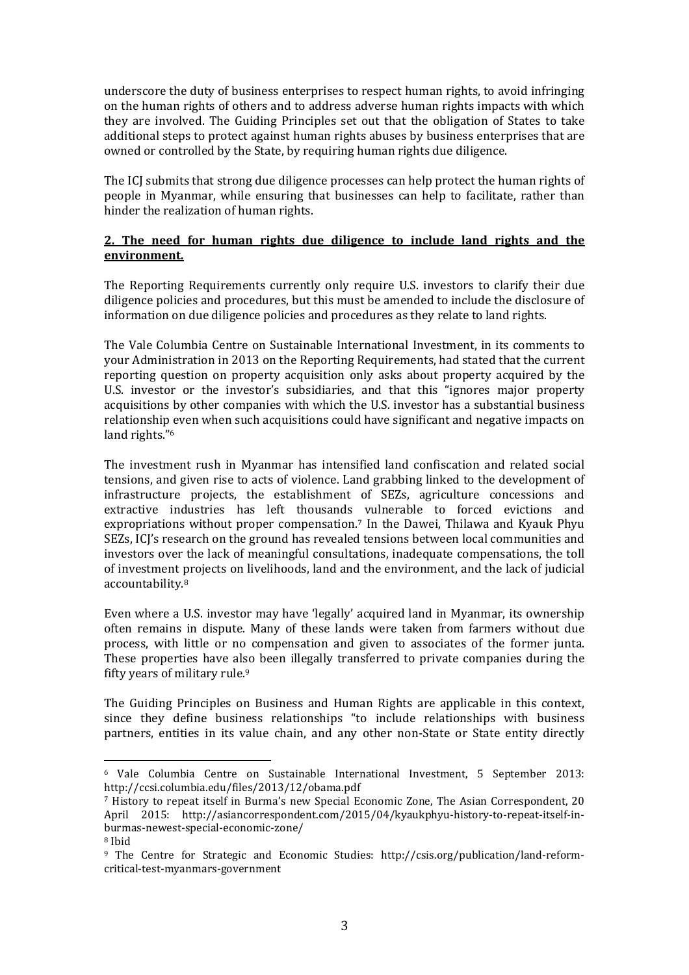underscore the duty of business enterprises to respect human rights, to avoid infringing on the human rights of others and to address adverse human rights impacts with which they are involved. The Guiding Principles set out that the obligation of States to take additional steps to protect against human rights abuses by business enterprises that are owned or controlled by the State, by requiring human rights due diligence.

The ICJ submits that strong due diligence processes can help protect the human rights of people in Myanmar, while ensuring that businesses can help to facilitate, rather than hinder the realization of human rights.

## **2. The need for human rights due diligence to include land rights and the environment.**

The Reporting Requirements currently only require U.S. investors to clarify their due diligence policies and procedures, but this must be amended to include the disclosure of information on due diligence policies and procedures as they relate to land rights.

The Vale Columbia Centre on Sustainable International Investment, in its comments to your Administration in 2013 on the Reporting Requirements, had stated that the current reporting question on property acquisition only asks about property acquired by the U.S. investor or the investor's subsidiaries, and that this "ignores major property acquisitions by other companies with which the U.S. investor has a substantial business relationship even when such acquisitions could have significant and negative impacts on land rights."6

The investment rush in Myanmar has intensified land confiscation and related social tensions, and given rise to acts of violence. Land grabbing linked to the development of infrastructure projects, the establishment of SEZs, agriculture concessions and extractive industries has left thousands vulnerable to forced evictions and expropriations without proper compensation.7 In the Dawei, Thilawa and Kyauk Phyu SEZs, ICJ's research on the ground has revealed tensions between local communities and investors over the lack of meaningful consultations, inadequate compensations, the toll of investment projects on livelihoods, land and the environment, and the lack of judicial accountability.8

Even where a U.S. investor may have 'legally' acquired land in Myanmar, its ownership often remains in dispute. Many of these lands were taken from farmers without due process, with little or no compensation and given to associates of the former junta. These properties have also been illegally transferred to private companies during the fifty years of military rule.9

The Guiding Principles on Business and Human Rights are applicable in this context, since they define business relationships "to include relationships with business partners, entities in its value chain, and any other non-State or State entity directly

<sup>6</sup> Vale Columbia Centre on Sustainable International Investment, 5 September 2013: http://ccsi.columbia.edu/files/2013/12/obama.pdf

<sup>7</sup> History to repeat itself in Burma's new Special Economic Zone, The Asian Correspondent, 20 April 2015: http://asiancorrespondent.com/2015/04/kyaukphyu-history-to-repeat-itself-inburmas-newest-special-economic-zone/ <sup>8</sup> Ibid

<sup>9</sup> The Centre for Strategic and Economic Studies: http://csis.org/publication/land-reformcritical-test-myanmars-government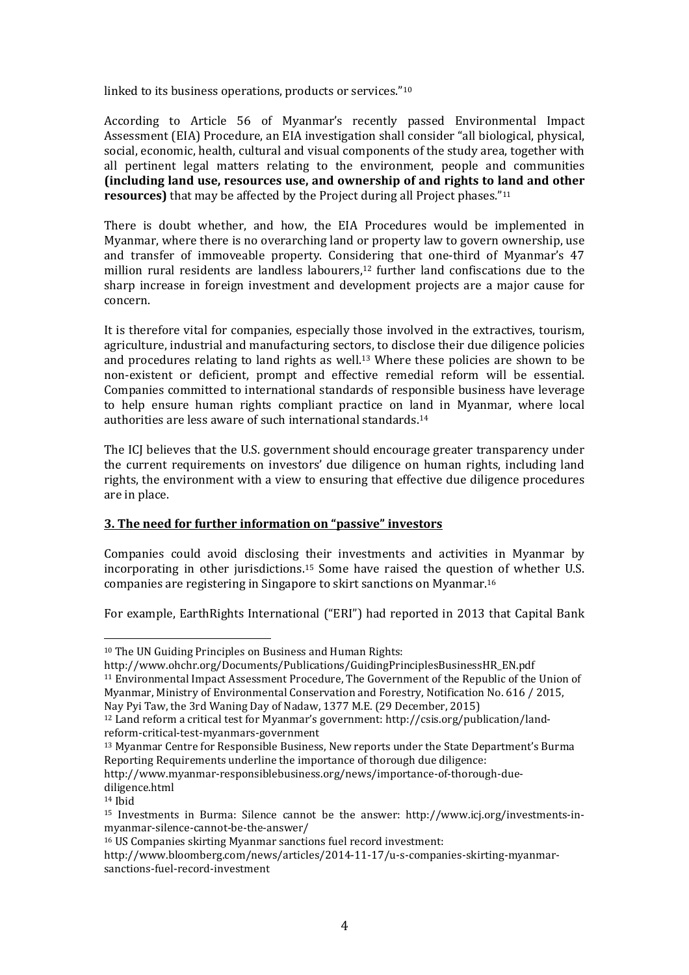linked to its business operations, products or services."10

According to Article 56 of Myanmar's recently passed Environmental Impact Assessment (EIA) Procedure, an EIA investigation shall consider "all biological, physical, social, economic, health, cultural and visual components of the study area, together with all pertinent legal matters relating to the environment, people and communities **(including land use, resources use, and ownership of and rights to land and other resources)** that may be affected by the Project during all Project phases."11

There is doubt whether, and how, the EIA Procedures would be implemented in Myanmar, where there is no overarching land or property law to govern ownership, use and transfer of immoveable property. Considering that one-third of Myanmar's 47 million rural residents are landless labourers,12 further land confiscations due to the sharp increase in foreign investment and development projects are a major cause for concern.

It is therefore vital for companies, especially those involved in the extractives, tourism, agriculture, industrial and manufacturing sectors, to disclose their due diligence policies and procedures relating to land rights as well.13 Where these policies are shown to be non-existent or deficient, prompt and effective remedial reform will be essential. Companies committed to international standards of responsible business have leverage to help ensure human rights compliant practice on land in Myanmar, where local authorities are less aware of such international standards.14

The ICJ believes that the U.S. government should encourage greater transparency under the current requirements on investors' due diligence on human rights, including land rights, the environment with a view to ensuring that effective due diligence procedures are in place.

## **3. The need for further information on "passive" investors**

Companies could avoid disclosing their investments and activities in Myanmar by incorporating in other jurisdictions.15 Some have raised the question of whether U.S. companies are registering in Singapore to skirt sanctions on Myanmar.16

For example, EarthRights International ("ERI") had reported in 2013 that Capital Bank

<sup>10</sup> The UN Guiding Principles on Business and Human Rights:

http://www.ohchr.org/Documents/Publications/GuidingPrinciplesBusinessHR\_EN.pdf

<sup>11</sup> Environmental Impact Assessment Procedure, The Government of the Republic of the Union of Myanmar, Ministry of Environmental Conservation and Forestry, Notification No. 616 / 2015, Nay Pyi Taw, the 3rd Waning Day of Nadaw, 1377 M.E. (29 December, 2015)

<sup>12</sup> Land reform a critical test for Myanmar's government: http://csis.org/publication/landreform-critical-test-myanmars-government

<sup>13</sup> Myanmar Centre for Responsible Business, New reports under the State Department's Burma Reporting Requirements underline the importance of thorough due diligence:

http://www.myanmar-responsiblebusiness.org/news/importance-of-thorough-duediligence.html

<sup>14</sup> Ibid

<sup>15</sup> Investments in Burma: Silence cannot be the answer: http://www.icj.org/investments-inmyanmar-silence-cannot-be-the-answer/

<sup>16</sup> US Companies skirting Myanmar sanctions fuel record investment:

http://www.bloomberg.com/news/articles/2014-11-17/u-s-companies-skirting-myanmarsanctions-fuel-record-investment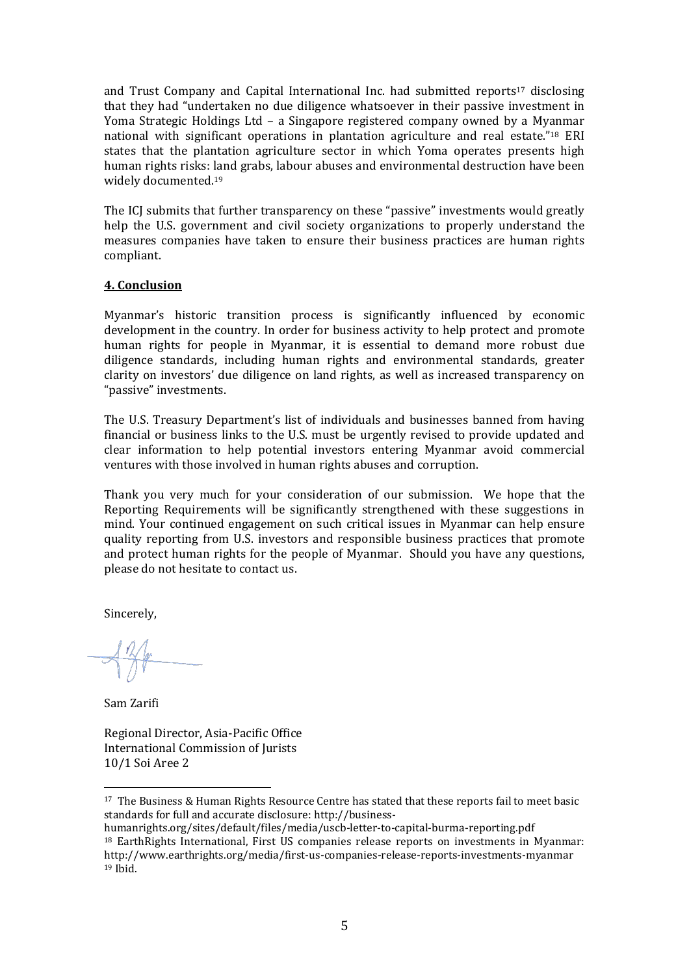and Trust Company and Capital International Inc. had submitted reports17 disclosing that they had "undertaken no due diligence whatsoever in their passive investment in Yoma Strategic Holdings Ltd – a Singapore registered company owned by a Myanmar national with significant operations in plantation agriculture and real estate."18 ERI states that the plantation agriculture sector in which Yoma operates presents high human rights risks: land grabs, labour abuses and environmental destruction have been widely documented.19

The ICJ submits that further transparency on these "passive" investments would greatly help the U.S. government and civil society organizations to properly understand the measures companies have taken to ensure their business practices are human rights compliant.

# **4. Conclusion**

Myanmar's historic transition process is significantly influenced by economic development in the country. In order for business activity to help protect and promote human rights for people in Myanmar, it is essential to demand more robust due diligence standards, including human rights and environmental standards, greater clarity on investors' due diligence on land rights, as well as increased transparency on "passive" investments.

The U.S. Treasury Department's list of individuals and businesses banned from having financial or business links to the U.S. must be urgently revised to provide updated and clear information to help potential investors entering Myanmar avoid commercial ventures with those involved in human rights abuses and corruption.

Thank you very much for your consideration of our submission. We hope that the Reporting Requirements will be significantly strengthened with these suggestions in mind. Your continued engagement on such critical issues in Myanmar can help ensure quality reporting from U.S. investors and responsible business practices that promote and protect human rights for the people of Myanmar. Should you have any questions, please do not hesitate to contact us.

Sincerely,

Sam Zarifi

Regional Director, Asia-Pacific Office International Commission of Jurists 10/1 Soi Aree 2

<sup>&</sup>lt;sup>17</sup> The Business & Human Rights Resource Centre has stated that these reports fail to meet basic standards for full and accurate disclosure: http://business-

humanrights.org/sites/default/files/media/uscb-letter-to-capital-burma-reporting.pdf <sup>18</sup> EarthRights International, First US companies release reports on investments in Myanmar: http://www.earthrights.org/media/first-us-companies-release-reports-investments-myanmar <sup>19</sup> Ibid.